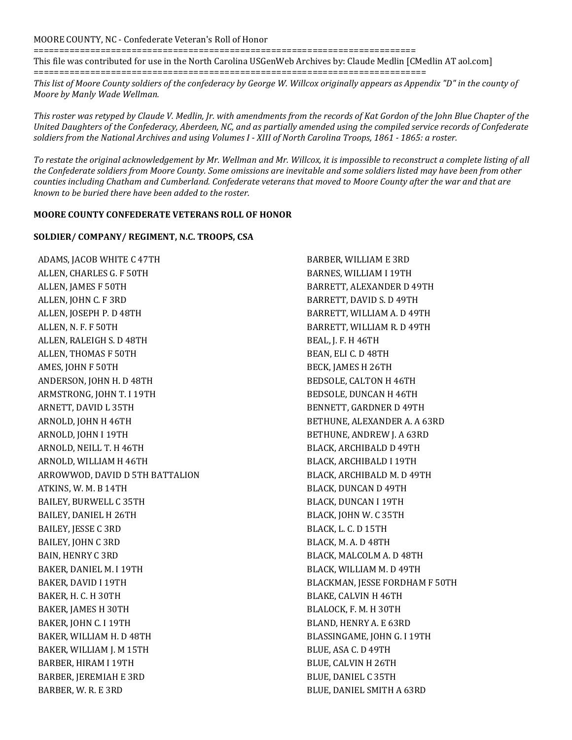## MOORE COUNTY, NC - Confederate Veteran's Roll of Honor

==========================================================================

This file was contributed for use in the North Carolina USGenWeb Archives by: Claude Medlin [CMedlin AT aol.com] ============================================================================

*This list of Moore County soldiers of the confederacy by George W. Willcox originally appears as Appendix "D" in the county of Moore by Manly Wade Wellman.*

*This roster was retyped by Claude V. Medlin, Jr. with amendments from the records of Kat Gordon of the John Blue Chapter of the United Daughters of the Confederacy, Aberdeen, NC, and as partially amended using the compiled service records of Confederate soldiers from the National Archives and using Volumes I - XIII of North Carolina Troops, 1861 - 1865: a roster.*

*To restate the original acknowledgement by Mr. Wellman and Mr. Willcox, it is impossible to reconstruct a complete listing of all the Confederate soldiers from Moore County. Some omissions are inevitable and some soldiers listed may have been from other counties including Chatham and Cumberland. Confederate veterans that moved to Moore County after the war and that are known to be buried there have been added to the roster.*

## **MOORE COUNTY CONFEDERATE VETERANS ROLL OF HONOR**

## **SOLDIER/ COMPANY/ REGIMENT, N.C. TROOPS, CSA**

ADAMS, JACOB WHITE C 47TH ALLEN, CHARLES G. F 50TH ALLEN, JAMES F 50TH ALLEN, JOHN C. F 3RD ALLEN, JOSEPH P. D 48TH ALLEN, N. F. F 50TH ALLEN, RALEIGH S. D 48TH ALLEN, THOMAS F 50TH AMES, JOHN F 50TH ANDERSON, JOHN H. D 48TH ARMSTRONG, JOHN T. I 19TH ARNETT, DAVID L 35TH ARNOLD, JOHN H 46TH ARNOLD, JOHN I 19TH ARNOLD, NEILL T. H 46TH ARNOLD, WILLIAM H 46TH ARROWWOD, DAVID D 5TH BATTALION ATKINS, W. M. B 14TH BAILEY, BURWELL C 35TH BAILEY, DANIEL H 26TH BAILEY, JESSE C 3RD BAILEY, JOHN C 3RD BAIN, HENRY C 3RD BAKER, DANIEL M. I 19TH BAKER, DAVID I 19TH BAKER, H. C. H 30TH BAKER, JAMES H 30TH BAKER, JOHN C. I 19TH BAKER, WILLIAM H. D 48TH BAKER, WILLIAM J. M 15TH BARBER, HIRAM I 19TH BARBER, JEREMIAH E 3RD BARBER, W. R. E 3RD

BARBER, WILLIAM E 3RD BARNES, WILLIAM I 19TH BARRETT, ALEXANDER D 49TH BARRETT, DAVID S. D 49TH BARRETT, WILLIAM A. D 49TH BARRETT, WILLIAM R. D 49TH BEAL, J. F. H 46TH BEAN, ELI C. D 48TH BECK, JAMES H 26TH BEDSOLE, CALTON H 46TH BEDSOLE, DUNCAN H 46TH BENNETT, GARDNER D 49TH BETHUNE, ALEXANDER A. A 63RD BETHUNE, ANDREW J. A 63RD BLACK, ARCHIBALD D 49TH BLACK, ARCHIBALD I 19TH BLACK, ARCHIBALD M. D 49TH BLACK, DUNCAN D 49TH BLACK, DUNCAN I 19TH BLACK, JOHN W. C 35TH BLACK, L. C. D 15TH BLACK, M. A. D 48TH BLACK, MALCOLM A. D 48TH BLACK, WILLIAM M. D 49TH BLACKMAN, JESSE FORDHAM F 50TH BLAKE, CALVIN H 46TH BLALOCK, F. M. H 30TH BLAND, HENRY A. E 63RD BLASSINGAME, JOHN G. I 19TH BLUE, ASA C. D 49TH BLUE, CALVIN H 26TH BLUE, DANIEL C 35TH BLUE, DANIEL SMITH A 63RD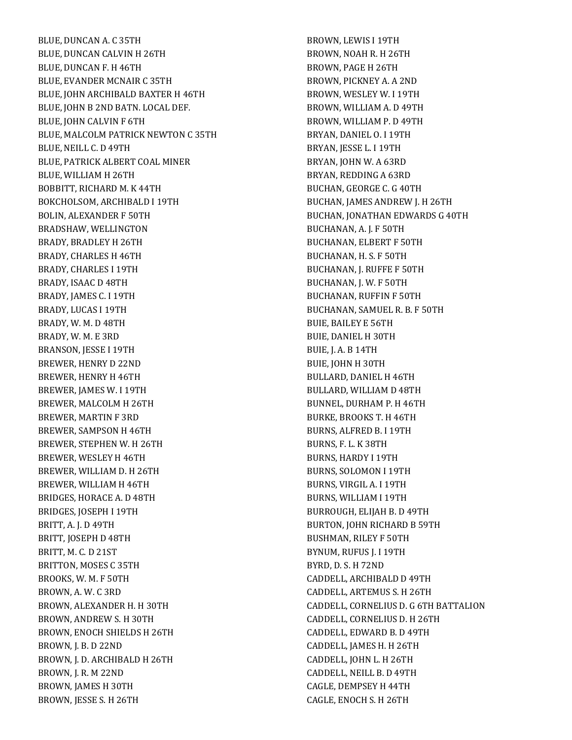BLUE, DUNCAN A. C 35TH BLUE, DUNCAN CALVIN H 26TH BLUE, DUNCAN F. H 46TH BLUE, EVANDER MCNAIR C 35TH BLUE, JOHN ARCHIBALD BAXTER H 46TH BLUE, JOHN B 2ND BATN. LOCAL DEF. BLUE, JOHN CALVIN F 6TH BLUE, MALCOLM PATRICK NEWTON C 35TH BLUE, NEILL C. D 49TH BLUE, PATRICK ALBERT COAL MINER BLUE, WILLIAM H 26TH BOBBITT, RICHARD M. K 44TH BOKCHOLSOM, ARCHIBALD I 19TH BOLIN, ALEXANDER F 50TH BRADSHAW, WELLINGTON BRADY, BRADLEY H 26TH BRADY, CHARLES H 46TH BRADY, CHARLES I 19TH BRADY, ISAAC D 48TH BRADY, JAMES C. I 19TH BRADY, LUCAS I 19TH BRADY, W. M. D 48TH BRADY, W. M. E 3RD BRANSON, JESSE I 19TH BREWER, HENRY D 22ND BREWER, HENRY H 46TH BREWER, JAMES W. I 19TH BREWER, MALCOLM H 26TH BREWER, MARTIN F 3RD BREWER, SAMPSON H 46TH BREWER, STEPHEN W. H 26TH BREWER, WESLEY H 46TH BREWER, WILLIAM D. H 26TH BREWER, WILLIAM H 46TH BRIDGES, HORACE A. D 48TH BRIDGES, JOSEPH I 19TH BRITT, A. J. D 49TH BRITT, JOSEPH D 48TH BRITT, M. C. D 21ST BRITTON, MOSES C 35TH BROOKS, W. M. F 50TH BROWN, A. W. C 3RD BROWN, ALEXANDER H. H 30TH BROWN, ANDREW S. H 30TH BROWN, ENOCH SHIELDS H 26TH BROWN, J. B. D 22ND BROWN, J. D. ARCHIBALD H 26TH BROWN, J. R. M 22ND BROWN, JAMES H 30TH BROWN, JESSE S. H 26TH

BROWN, LEWIS I 19TH BROWN, NOAH R. H 26TH BROWN, PAGE H 26TH BROWN, PICKNEY A. A 2ND BROWN, WESLEY W. I 19TH BROWN, WILLIAM A. D 49TH BROWN, WILLIAM P. D 49TH BRYAN, DANIEL O. I 19TH BRYAN, JESSE L. I 19TH BRYAN, JOHN W. A 63RD BRYAN, REDDING A 63RD BUCHAN, GEORGE C. G 40TH BUCHAN, JAMES ANDREW J. H 26TH BUCHAN, JONATHAN EDWARDS G 40TH BUCHANAN, A. J. F 50TH BUCHANAN, ELBERT F 50TH BUCHANAN, H. S. F 50TH BUCHANAN, J. RUFFE F 50TH BUCHANAN, J. W. F 50TH BUCHANAN, RUFFIN F 50TH BUCHANAN, SAMUEL R. B. F 50TH BUIE, BAILEY E 56TH BUIE, DANIEL H 30TH BUIE, J. A. B 14TH BUIE, JOHN H 30TH BULLARD, DANIEL H 46TH BULLARD, WILLIAM D 48TH BUNNEL, DURHAM P. H 46TH BURKE, BROOKS T. H 46TH BURNS, ALFRED B. I 19TH BURNS, F. L. K 38TH BURNS, HARDY I 19TH BURNS, SOLOMON I 19TH BURNS, VIRGIL A. I 19TH BURNS, WILLIAM I 19TH BURROUGH, ELIJAH B. D 49TH BURTON, JOHN RICHARD B 59TH BUSHMAN, RILEY F 50TH BYNUM, RUFUS J. I 19TH BYRD, D. S. H 72ND CADDELL, ARCHIBALD D 49TH CADDELL, ARTEMUS S. H 26TH CADDELL, CORNELIUS D. G 6TH BATTALION CADDELL, CORNELIUS D. H 26TH CADDELL, EDWARD B. D 49TH CADDELL, JAMES H. H 26TH CADDELL, JOHN L. H 26TH CADDELL, NEILL B. D 49TH CAGLE, DEMPSEY H 44TH CAGLE, ENOCH S. H 26TH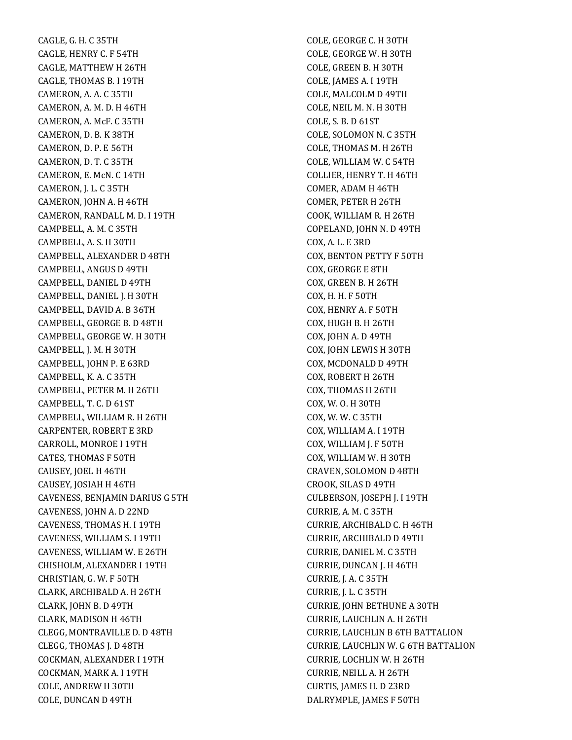CAGLE, G. H. C 35TH CAGLE, HENRY C. F 54TH CAGLE, MATTHEW H 26TH CAGLE, THOMAS B. I 19TH CAMERON, A. A. C 35TH CAMERON, A. M. D. H 46TH CAMERON, A. McF. C 35TH CAMERON, D. B. K 38TH CAMERON, D. P. E 56TH CAMERON, D. T. C 35TH CAMERON, E. McN. C 14TH CAMERON, J. L. C 35TH CAMERON, JOHN A. H 46TH CAMERON, RANDALL M. D. I 19TH CAMPBELL, A. M. C 35TH CAMPBELL, A. S. H 30TH CAMPBELL, ALEXANDER D 48TH CAMPBELL, ANGUS D 49TH CAMPBELL, DANIEL D 49TH CAMPBELL, DANIEL J. H 30TH CAMPBELL, DAVID A. B 36TH CAMPBELL, GEORGE B. D 48TH CAMPBELL, GEORGE W. H 30TH CAMPBELL, J. M. H 30TH CAMPBELL, JOHN P. E 63RD CAMPBELL, K. A. C 35TH CAMPBELL, PETER M. H 26TH CAMPBELL, T. C. D 61ST CAMPBELL, WILLIAM R. H 26TH CARPENTER, ROBERT E 3RD CARROLL, MONROE I 19TH CATES, THOMAS F 50TH CAUSEY, JOEL H 46TH CAUSEY, JOSIAH H 46TH CAVENESS, BENJAMIN DARIUS G 5TH CAVENESS, JOHN A. D 22ND CAVENESS, THOMAS H. I 19TH CAVENESS, WILLIAM S. I 19TH CAVENESS, WILLIAM W. E 26TH CHISHOLM, ALEXANDER I 19TH CHRISTIAN, G. W. F 50TH CLARK, ARCHIBALD A. H 26TH CLARK, JOHN B. D 49TH CLARK, MADISON H 46TH CLEGG, MONTRAVILLE D. D 48TH CLEGG, THOMAS J. D 48TH COCKMAN, ALEXANDER I 19TH COCKMAN, MARK A. I 19TH COLE, ANDREW H 30TH COLE, DUNCAN D 49TH

COLE, GEORGE C. H 30TH COLE, GEORGE W. H 30TH COLE, GREEN B. H 30TH COLE, JAMES A. I 19TH COLE, MALCOLM D 49TH COLE, NEIL M. N. H 30TH COLE, S. B. D 61ST COLE, SOLOMON N. C 35TH COLE, THOMAS M. H 26TH COLE, WILLIAM W. C 54TH COLLIER, HENRY T. H 46TH COMER, ADAM H 46TH COMER, PETER H 26TH COOK, WILLIAM R. H 26TH COPELAND, JOHN N. D 49TH COX, A. L. E 3RD COX, BENTON PETTY F 50TH COX, GEORGE E 8TH COX, GREEN B. H 26TH COX, H. H. F 50TH COX, HENRY A. F 50TH COX, HUGH B. H 26TH COX, JOHN A. D 49TH COX, JOHN LEWIS H 30TH COX, MCDONALD D 49TH COX, ROBERT H 26TH COX, THOMAS H 26TH COX, W. O. H 30TH COX, W. W. C 35TH COX, WILLIAM A. I 19TH COX, WILLIAM J. F 50TH COX, WILLIAM W. H 30TH CRAVEN, SOLOMON D 48TH CROOK, SILAS D 49TH CULBERSON, JOSEPH J. I 19TH CURRIE, A. M. C 35TH CURRIE, ARCHIBALD C. H 46TH CURRIE, ARCHIBALD D 49TH CURRIE, DANIEL M. C 35TH CURRIE, DUNCAN J. H 46TH CURRIE, J. A. C 35TH CURRIE, J. L. C 35TH CURRIE, JOHN BETHUNE A 30TH CURRIE, LAUCHLIN A. H 26TH CURRIE, LAUCHLIN B 6TH BATTALION CURRIE, LAUCHLIN W. G 6TH BATTALION CURRIE, LOCHLIN W. H 26TH CURRIE, NEILL A. H 26TH CURTIS, JAMES H. D 23RD DALRYMPLE, JAMES F 50TH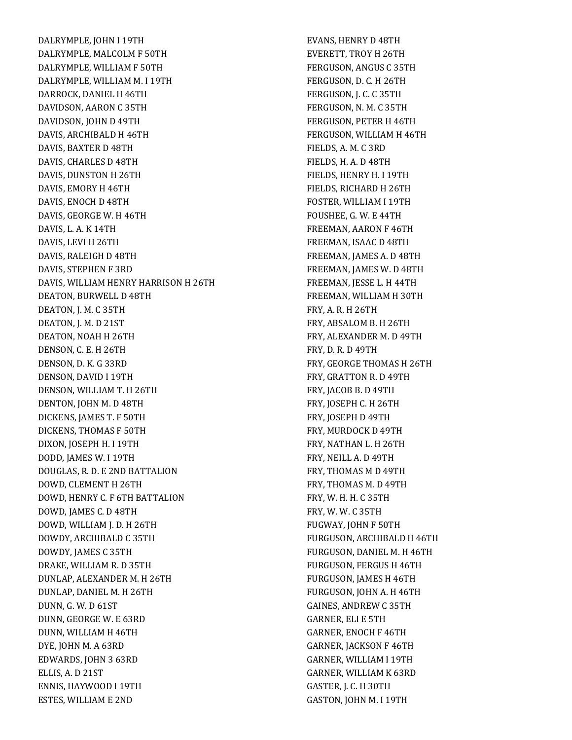DALRYMPLE, JOHN I 19TH DALRYMPLE, MALCOLM F 50TH DALRYMPLE, WILLIAM F 50TH DALRYMPLE, WILLIAM M. I 19TH DARROCK, DANIEL H 46TH DAVIDSON, AARON C 35TH DAVIDSON, JOHN D 49TH DAVIS, ARCHIBALD H 46TH DAVIS, BAXTER D 48TH DAVIS, CHARLES D 48TH DAVIS, DUNSTON H 26TH DAVIS, EMORY H 46TH DAVIS, ENOCH D 48TH DAVIS, GEORGE W. H 46TH DAVIS, L. A. K 14TH DAVIS, LEVI H 26TH DAVIS, RALEIGH D 48TH DAVIS, STEPHEN F 3RD DAVIS, WILLIAM HENRY HARRISON H 26TH DEATON, BURWELL D 48TH DEATON, J. M. C 35TH DEATON, J. M. D 21ST DEATON, NOAH H 26TH DENSON, C. E. H 26TH DENSON, D. K. G 33RD DENSON, DAVID I 19TH DENSON, WILLIAM T. H 26TH DENTON, JOHN M. D 48TH DICKENS, JAMES T. F 50TH DICKENS, THOMAS F 50TH DIXON, JOSEPH H. I 19TH DODD, JAMES W. I 19TH DOUGLAS, R. D. E 2ND BATTALION DOWD, CLEMENT H 26TH DOWD, HENRY C. F 6TH BATTALION DOWD, JAMES C. D 48TH DOWD, WILLIAM J. D. H 26TH DOWDY, ARCHIBALD C 35TH DOWDY, JAMES C 35TH DRAKE, WILLIAM R. D 35TH DUNLAP, ALEXANDER M. H 26TH DUNLAP, DANIEL M. H 26TH DUNN, G. W. D 61ST DUNN, GEORGE W. E 63RD DUNN, WILLIAM H 46TH DYE, JOHN M. A 63RD EDWARDS, JOHN 3 63RD ELLIS, A. D 21ST ENNIS, HAYWOOD I 19TH ESTES, WILLIAM E 2ND

EVANS, HENRY D 48TH EVERETT, TROY H 26TH FERGUSON, ANGUS C 35TH FERGUSON, D. C. H 26TH FERGUSON, J. C. C 35TH FERGUSON, N. M. C 35TH FERGUSON, PETER H 46TH FERGUSON, WILLIAM H 46TH FIELDS, A. M. C 3RD FIELDS, H. A. D 48TH FIELDS, HENRY H. I 19TH FIELDS, RICHARD H 26TH FOSTER, WILLIAM I 19TH FOUSHEE, G. W. E 44TH FREEMAN, AARON F 46TH FREEMAN, ISAAC D 48TH FREEMAN, JAMES A. D 48TH FREEMAN, JAMES W. D 48TH FREEMAN, JESSE L. H 44TH FREEMAN, WILLIAM H 30TH FRY, A. R. H 26TH FRY, ABSALOM B. H 26TH FRY, ALEXANDER M. D 49TH FRY, D. R. D 49TH FRY, GEORGE THOMAS H 26TH FRY, GRATTON R. D 49TH FRY, JACOB B. D 49TH FRY, JOSEPH C. H 26TH FRY, JOSEPH D 49TH FRY, MURDOCK D 49TH FRY, NATHAN L. H 26TH FRY, NEILL A. D 49TH FRY, THOMAS M D 49TH FRY, THOMAS M. D 49TH FRY, W. H. H. C 35TH FRY, W. W. C 35TH FUGWAY, JOHN F 50TH FURGUSON, ARCHIBALD H 46TH FURGUSON, DANIEL M. H 46TH FURGUSON, FERGUS H 46TH FURGUSON, JAMES H 46TH FURGUSON, JOHN A. H 46TH GAINES, ANDREW C 35TH GARNER, ELI E 5TH GARNER, ENOCH F 46TH GARNER, JACKSON F 46TH GARNER, WILLIAM I 19TH GARNER, WILLIAM K 63RD GASTER, J. C. H 30TH GASTON, JOHN M. I 19TH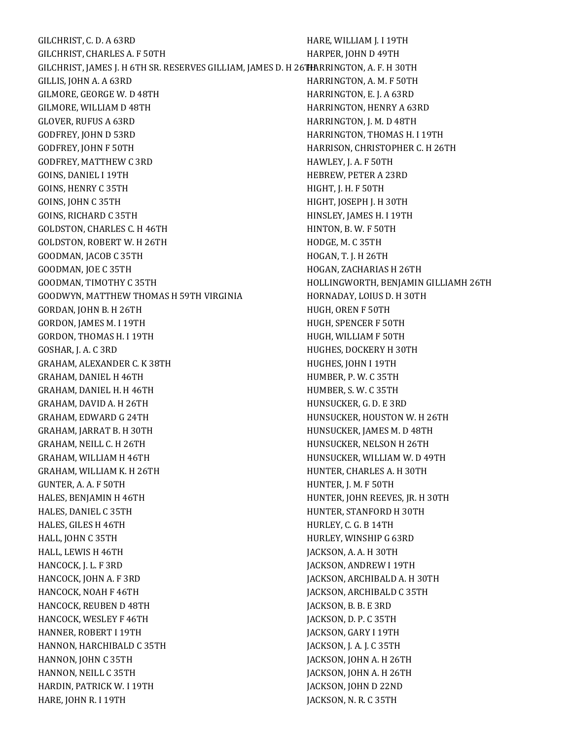GILCHRIST, C. D. A 63RD GILCHRIST, CHARLES A. F 50TH GILCHRIST, JAMES J. H 6TH SR. RESERVES GILLIAM, JAMES D. H 26 F<del>IA</del>RRINGTON, A. F. H 30TH GILLIS, JOHN A. A 63RD GILMORE, GEORGE W. D 48TH GILMORE, WILLIAM D 48TH GLOVER, RUFUS A 63RD GODFREY, JOHN D 53RD GODFREY, JOHN F 50TH GODFREY, MATTHEW C 3RD GOINS, DANIEL I 19TH GOINS, HENRY C 35TH GOINS, JOHN C 35TH GOINS, RICHARD C 35TH GOLDSTON, CHARLES C. H 46TH GOLDSTON, ROBERT W. H 26TH GOODMAN, JACOB C 35TH GOODMAN, JOE C 35TH GOODMAN, TIMOTHY C 35TH GOODWYN, MATTHEW THOMAS H 59TH VIRGINIA GORDAN, JOHN B. H 26TH GORDON, JAMES M. I 19TH GORDON, THOMAS H. I 19TH GOSHAR, J. A. C 3RD GRAHAM, ALEXANDER C. K 38TH GRAHAM, DANIEL H 46TH GRAHAM, DANIEL H. H 46TH GRAHAM, DAVID A. H 26TH GRAHAM, EDWARD G 24TH GRAHAM, JARRAT B. H 30TH GRAHAM, NEILL C. H 26TH GRAHAM, WILLIAM H 46TH GRAHAM, WILLIAM K. H 26TH GUNTER, A. A. F 50TH HALES, BENJAMIN H 46TH HALES, DANIEL C 35TH HALES, GILES H 46TH HALL, JOHN C 35TH HALL, LEWIS H 46TH HANCOCK, J. L. F 3RD HANCOCK, JOHN A. F 3RD HANCOCK, NOAH F 46TH HANCOCK, REUBEN D 48TH HANCOCK, WESLEY F 46TH HANNER, ROBERT I 19TH HANNON, HARCHIBALD C 35TH HANNON, JOHN C 35TH HANNON, NEILL C 35TH HARDIN, PATRICK W. I 19TH HARE, JOHN R. I 19TH HARE, WILLIAM J. I 19TH HARPER, JOHN D 49TH HARRINGTON, A. M. F 50TH HARRINGTON, E. J. A 63RD HARRINGTON, HENRY A 63RD HARRINGTON, J. M. D 48TH HARRINGTON, THOMAS H. I 19TH HARRISON, CHRISTOPHER C. H 26TH HAWLEY, J. A. F 50TH HEBREW, PETER A 23RD HIGHT, J. H. F 50TH HIGHT, JOSEPH J. H 30TH HINSLEY, JAMES H. I 19TH HINTON, B. W. F 50TH HODGE, M. C 35TH HOGAN, T. J. H 26TH HOGAN, ZACHARIAS H 26TH HOLLINGWORTH, BENJAMIN GILLIAMH 26TH HORNADAY, LOIUS D. H 30TH HUGH, OREN F 50TH HUGH, SPENCER F 50TH HUGH, WILLIAM F 50TH HUGHES, DOCKERY H 30TH HUGHES, JOHN I 19TH HUMBER, P. W. C 35TH HUMBER, S. W. C 35TH HUNSUCKER, G. D. E 3RD HUNSUCKER, HOUSTON W. H 26TH HUNSUCKER, JAMES M. D 48TH HUNSUCKER, NELSON H 26TH HUNSUCKER, WILLIAM W. D 49TH HUNTER, CHARLES A. H 30TH HUNTER, J. M. F 50TH HUNTER, JOHN REEVES, JR. H 30TH HUNTER, STANFORD H 30TH HURLEY, C. G. B 14TH HURLEY, WINSHIP G 63RD JACKSON, A. A. H 30TH JACKSON, ANDREW I 19TH JACKSON, ARCHIBALD A. H 30TH JACKSON, ARCHIBALD C 35TH JACKSON, B. B. E 3RD JACKSON, D. P. C 35TH JACKSON, GARY I 19TH JACKSON, J. A. J. C 35TH JACKSON, JOHN A. H 26TH JACKSON, JOHN A. H 26TH JACKSON, JOHN D 22ND JACKSON, N. R. C 35TH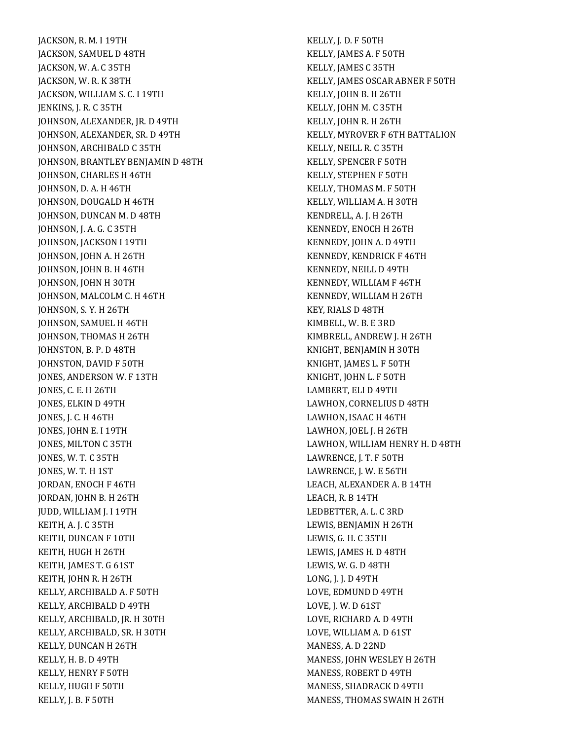JACKSON, R. M. I 19TH JACKSON, SAMUEL D 48TH JACKSON, W. A. C 35TH JACKSON, W. R. K 38TH JACKSON, WILLIAM S. C. I 19TH JENKINS, J. R. C 35TH JOHNSON, ALEXANDER, JR. D 49TH JOHNSON, ALEXANDER, SR. D 49TH JOHNSON, ARCHIBALD C 35TH JOHNSON, BRANTLEY BENJAMIN D 48TH JOHNSON, CHARLES H 46TH JOHNSON, D. A. H 46TH JOHNSON, DOUGALD H 46TH JOHNSON, DUNCAN M. D 48TH JOHNSON, J. A. G. C 35TH JOHNSON, JACKSON I 19TH JOHNSON, JOHN A. H 26TH JOHNSON, JOHN B. H 46TH JOHNSON, JOHN H 30TH JOHNSON, MALCOLM C. H 46TH JOHNSON, S. Y. H 26TH JOHNSON, SAMUEL H 46TH JOHNSON, THOMAS H 26TH JOHNSTON, B. P. D 48TH JOHNSTON, DAVID F 50TH JONES, ANDERSON W. F 13TH JONES, C. E. H 26TH JONES, ELKIN D 49TH JONES, J. C. H 46TH JONES, JOHN E. I 19TH JONES, MILTON C 35TH JONES, W. T. C 35TH JONES, W. T. H 1ST JORDAN, ENOCH F 46TH JORDAN, JOHN B. H 26TH JUDD, WILLIAM J. I 19TH KEITH, A. J. C 35TH KEITH, DUNCAN F 10TH KEITH, HUGH H 26TH KEITH, JAMES T. G 61ST KEITH, JOHN R. H 26TH KELLY, ARCHIBALD A. F 50TH KELLY, ARCHIBALD D 49TH KELLY, ARCHIBALD, JR. H 30TH KELLY, ARCHIBALD, SR. H 30TH KELLY, DUNCAN H 26TH KELLY, H. B. D 49TH KELLY, HENRY F 50TH KELLY, HUGH F 50TH KELLY, J. B. F 50TH

KELLY, J. D. F 50TH KELLY, JAMES A. F 50TH KELLY, JAMES C 35TH KELLY, JAMES OSCAR ABNER F 50TH KELLY, JOHN B. H 26TH KELLY, JOHN M. C 35TH KELLY, JOHN R. H 26TH KELLY, MYROVER F 6TH BATTALION KELLY, NEILL R. C 35TH KELLY, SPENCER F 50TH KELLY, STEPHEN F 50TH KELLY, THOMAS M. F 50TH KELLY, WILLIAM A. H 30TH KENDRELL, A. J. H 26TH KENNEDY, ENOCH H 26TH KENNEDY, JOHN A. D 49TH KENNEDY, KENDRICK F 46TH KENNEDY, NEILL D 49TH KENNEDY, WILLIAM F 46TH KENNEDY, WILLIAM H 26TH KEY, RIALS D 48TH KIMBELL, W. B. E 3RD KIMBRELL, ANDREW J. H 26TH KNIGHT, BENJAMIN H 30TH KNIGHT, JAMES L. F 50TH KNIGHT, JOHN L. F 50TH LAMBERT, ELI D 49TH LAWHON, CORNELIUS D 48TH LAWHON, ISAAC H 46TH LAWHON, JOEL J. H 26TH LAWHON, WILLIAM HENRY H. D 48TH LAWRENCE, J. T. F 50TH LAWRENCE, J. W. E 56TH LEACH, ALEXANDER A. B 14TH LEACH, R. B 14TH LEDBETTER, A. L. C 3RD LEWIS, BENJAMIN H 26TH LEWIS, G. H. C 35TH LEWIS, JAMES H. D 48TH LEWIS, W. G. D 48TH LONG, J. J. D 49TH LOVE, EDMUND D 49TH LOVE, J. W. D 61ST LOVE, RICHARD A. D 49TH LOVE, WILLIAM A. D 61ST MANESS, A. D 22ND MANESS, JOHN WESLEY H 26TH MANESS, ROBERT D 49TH MANESS, SHADRACK D 49TH MANESS, THOMAS SWAIN H 26TH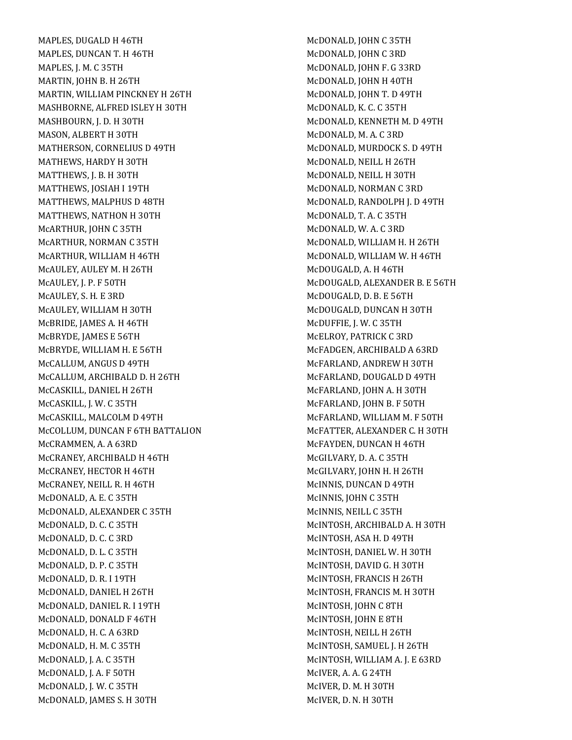MAPLES, DUGALD H 46TH MAPLES, DUNCAN T. H 46TH MAPLES, J. M. C 35TH MARTIN, JOHN B. H 26TH MARTIN, WILLIAM PINCKNEY H 26TH MASHBORNE, ALFRED ISLEY H 30TH MASHBOURN, J. D. H 30TH MASON, ALBERT H 30TH MATHERSON, CORNELIUS D 49TH MATHEWS, HARDY H 30TH MATTHEWS, J. B. H 30TH MATTHEWS, JOSIAH I 19TH MATTHEWS, MALPHUS D 48TH MATTHEWS, NATHON H 30TH McARTHUR, JOHN C 35TH McARTHUR, NORMAN C 35TH McARTHUR, WILLIAM H 46TH McAULEY, AULEY M. H 26TH McAULEY, J. P. F 50TH McAULEY, S. H. E 3RD McAULEY, WILLIAM H 30TH McBRIDE, JAMES A. H 46TH McBRYDE, JAMES E 56TH McBRYDE, WILLIAM H. E 56TH McCALLUM, ANGUS D 49TH McCALLUM, ARCHIBALD D. H 26TH McCASKILL, DANIEL H 26TH McCASKILL, J. W. C 35TH McCASKILL, MALCOLM D 49TH McCOLLUM, DUNCAN F 6TH BATTALION McCRAMMEN, A. A 63RD McCRANEY, ARCHIBALD H 46TH McCRANEY, HECTOR H 46TH McCRANEY, NEILL R. H 46TH McDONALD, A. E. C 35TH McDONALD, ALEXANDER C 35TH McDONALD, D. C. C 35TH McDONALD, D. C. C 3RD McDONALD, D. L. C 35TH McDONALD, D. P. C 35TH McDONALD, D. R. I 19TH McDONALD, DANIEL H 26TH McDONALD, DANIEL R. I 19TH McDONALD, DONALD F 46TH McDONALD, H. C. A 63RD McDONALD, H. M. C 35TH McDONALD, J. A. C 35TH McDONALD, J. A. F 50TH McDONALD, J. W. C 35TH McDONALD, JAMES S. H 30TH

McDONALD, JOHN C 35TH McDONALD, JOHN C 3RD McDONALD, JOHN F. G 33RD McDONALD, JOHN H 40TH McDONALD, JOHN T. D 49TH McDONALD, K. C. C 35TH McDONALD, KENNETH M. D 49TH McDONALD, M. A. C 3RD McDONALD, MURDOCK S. D 49TH McDONALD, NEILL H 26TH McDONALD, NEILL H 30TH McDONALD, NORMAN C 3RD McDONALD, RANDOLPH J. D 49TH McDONALD, T. A. C 35TH McDONALD, W. A. C 3RD McDONALD, WILLIAM H. H 26TH McDONALD, WILLIAM W. H 46TH McDOUGALD, A. H 46TH McDOUGALD, ALEXANDER B. E 56TH McDOUGALD, D. B. E 56TH McDOUGALD, DUNCAN H 30TH McDUFFIE, J. W. C 35TH McELROY, PATRICK C 3RD McFADGEN, ARCHIBALD A 63RD McFARLAND, ANDREW H 30TH McFARLAND, DOUGALD D 49TH McFARLAND, JOHN A. H 30TH McFARLAND, JOHN B. F 50TH McFARLAND, WILLIAM M. F 50TH McFATTER, ALEXANDER C. H 30TH McFAYDEN, DUNCAN H 46TH McGILVARY, D. A. C 35TH McGILVARY, JOHN H. H 26TH McINNIS, DUNCAN D 49TH McINNIS, JOHN C 35TH McINNIS, NEILL C 35TH McINTOSH, ARCHIBALD A. H 30TH McINTOSH, ASA H. D 49TH McINTOSH, DANIEL W. H 30TH McINTOSH, DAVID G. H 30TH McINTOSH, FRANCIS H 26TH McINTOSH, FRANCIS M. H 30TH McINTOSH, JOHN C 8TH McINTOSH, JOHN E 8TH McINTOSH, NEILL H 26TH McINTOSH, SAMUEL J. H 26TH McINTOSH, WILLIAM A. J. E 63RD McIVER, A. A. G 24TH McIVER, D. M. H 30TH McIVER, D. N. H 30TH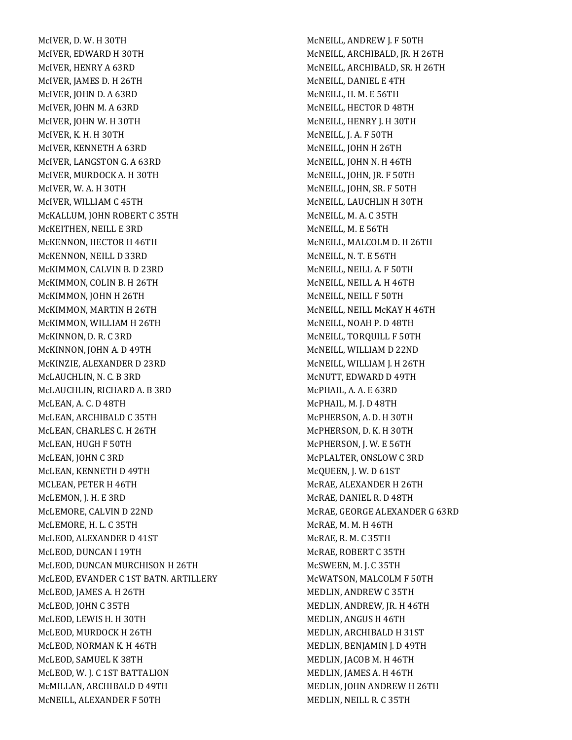McIVER, D. W. H 30TH McIVER, EDWARD H 30TH McIVER, HENRY A 63RD McIVER, JAMES D. H 26TH McIVER, JOHN D. A 63RD McIVER, JOHN M. A 63RD McIVER, JOHN W. H 30TH McIVER, K. H. H 30TH McIVER, KENNETH A 63RD McIVER, LANGSTON G. A 63RD McIVER, MURDOCK A. H 30TH McIVER, W. A. H 30TH McIVER, WILLIAM C 45TH McKALLUM, JOHN ROBERT C 35TH McKEITHEN, NEILL E 3RD McKENNON, HECTOR H 46TH McKENNON, NEILL D 33RD McKIMMON, CALVIN B. D 23RD McKIMMON, COLIN B. H 26TH McKIMMON, JOHN H 26TH McKIMMON, MARTIN H 26TH McKIMMON, WILLIAM H 26TH McKINNON, D. R. C 3RD McKINNON, JOHN A. D 49TH McKINZIE, ALEXANDER D 23RD McLAUCHLIN, N. C. B 3RD McLAUCHLIN, RICHARD A. B 3RD McLEAN, A. C. D 48TH McLEAN, ARCHIBALD C 35TH McLEAN, CHARLES C. H 26TH McLEAN, HUGH F 50TH McLEAN, JOHN C 3RD McLEAN, KENNETH D 49TH MCLEAN, PETER H 46TH McLEMON, J. H. E 3RD McLEMORE, CALVIN D 22ND McLEMORE, H. L. C 35TH McLEOD, ALEXANDER D 41ST McLEOD, DUNCAN I 19TH McLEOD, DUNCAN MURCHISON H 26TH McLEOD, EVANDER C 1ST BATN. ARTILLERY McLEOD, JAMES A. H 26TH McLEOD, JOHN C 35TH McLEOD, LEWIS H. H 30TH McLEOD, MURDOCK H 26TH McLEOD, NORMAN K. H 46TH McLEOD, SAMUEL K 38TH McLEOD, W. J. C 1ST BATTALION McMILLAN, ARCHIBALD D 49TH McNEILL, ALEXANDER F 50TH

McNEILL, ANDREW J. F 50TH McNEILL, ARCHIBALD, JR. H 26TH McNEILL, ARCHIBALD, SR. H 26TH McNEILL, DANIEL E 4TH McNEILL, H. M. E 56TH McNEILL, HECTOR D 48TH McNEILL, HENRY J. H 30TH McNEILL, J. A. F 50TH McNEILL, JOHN H 26TH McNEILL, JOHN N. H 46TH McNEILL, JOHN, JR. F 50TH McNEILL, JOHN, SR. F 50TH McNEILL, LAUCHLIN H 30TH McNEILL, M. A. C 35TH McNEILL, M. E 56TH McNEILL, MALCOLM D. H 26TH McNEILL, N. T. E 56TH McNEILL, NEILL A. F 50TH McNEILL, NEILL A. H 46TH McNEILL, NEILL F 50TH McNEILL, NEILL McKAY H 46TH McNEILL, NOAH P. D 48TH McNEILL, TORQUILL F 50TH McNEILL, WILLIAM D 22ND McNEILL, WILLIAM J. H 26TH McNUTT, EDWARD D 49TH McPHAIL, A. A. E 63RD McPHAIL, M. J. D 48TH McPHERSON, A. D. H 30TH McPHERSON, D. K. H 30TH McPHERSON, J. W. E 56TH McPLALTER, ONSLOW C 3RD McQUEEN, J. W. D 61ST McRAE, ALEXANDER H 26TH McRAE, DANIEL R. D 48TH McRAE, GEORGE ALEXANDER G 63RD McRAE, M. M. H 46TH McRAE, R. M. C 35TH McRAE, ROBERT C 35TH McSWEEN, M. J. C 35TH McWATSON, MALCOLM F 50TH MEDLIN, ANDREW C 35TH MEDLIN, ANDREW, JR. H 46TH MEDLIN, ANGUS H 46TH MEDLIN, ARCHIBALD H 31ST MEDLIN, BENJAMIN J. D 49TH MEDLIN, JACOB M. H 46TH MEDLIN, JAMES A. H 46TH MEDLIN, JOHN ANDREW H 26TH MEDLIN, NEILL R. C 35TH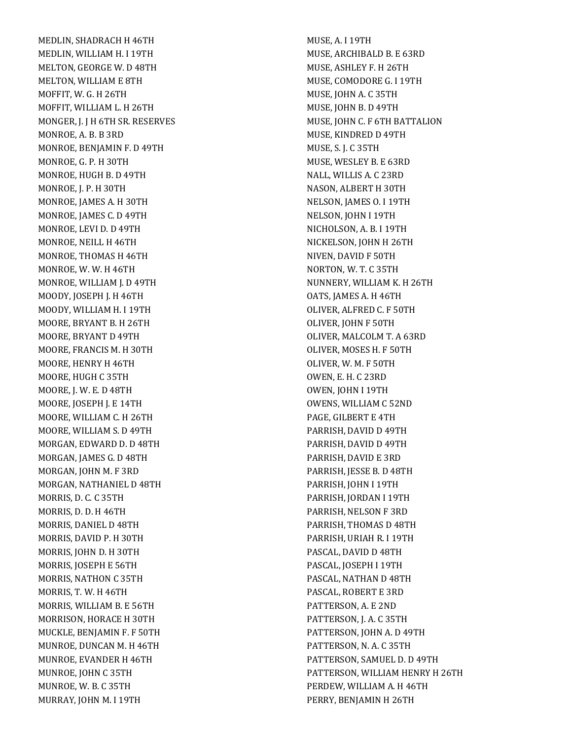MEDLIN, SHADRACH H 46TH MEDLIN, WILLIAM H. I 19TH MELTON, GEORGE W. D 48TH MELTON, WILLIAM E 8TH MOFFIT, W. G. H 26TH MOFFIT, WILLIAM L. H 26TH MONGER, J. J H 6TH SR. RESERVES MONROE, A. B. B 3RD MONROE, BENJAMIN F. D 49TH MONROE, G. P. H 30TH MONROE, HUGH B. D 49TH MONROE, J. P. H 30TH MONROE, JAMES A. H 30TH MONROE, JAMES C. D 49TH MONROE, LEVI D. D 49TH MONROE, NEILL H 46TH MONROE, THOMAS H 46TH MONROE, W. W. H 46TH MONROE, WILLIAM J. D 49TH MOODY, JOSEPH J. H 46TH MOODY, WILLIAM H. I 19TH MOORE, BRYANT B. H 26TH MOORE, BRYANT D 49TH MOORE, FRANCIS M. H 30TH MOORE, HENRY H 46TH MOORE, HUGH C 35TH MOORE, J. W. E. D 48TH MOORE, JOSEPH J. E 14TH MOORE, WILLIAM C. H 26TH MOORE, WILLIAM S. D 49TH MORGAN, EDWARD D. D 48TH MORGAN, JAMES G. D 48TH MORGAN, JOHN M. F 3RD MORGAN, NATHANIEL D 48TH MORRIS, D. C. C 35TH MORRIS, D. D. H 46TH MORRIS, DANIEL D 48TH MORRIS, DAVID P. H 30TH MORRIS, JOHN D. H 30TH MORRIS, JOSEPH E 56TH MORRIS, NATHON C 35TH MORRIS, T. W. H 46TH MORRIS, WILLIAM B. E 56TH MORRISON, HORACE H 30TH MUCKLE, BENJAMIN F. F 50TH MUNROE, DUNCAN M. H 46TH MUNROE, EVANDER H 46TH MUNROE, JOHN C 35TH MUNROE, W. B. C 35TH MURRAY, JOHN M. I 19TH

MUSE, A. I 19TH MUSE, ARCHIBALD B. E 63RD MUSE, ASHLEY F. H 26TH MUSE, COMODORE G. I 19TH MUSE, JOHN A. C 35TH MUSE, JOHN B. D 49TH MUSE, JOHN C. F 6TH BATTALION MUSE, KINDRED D 49TH MUSE, S. J. C 35TH MUSE, WESLEY B. E 63RD NALL, WILLIS A. C 23RD NASON, ALBERT H 30TH NELSON, JAMES O. I 19TH NELSON, JOHN I 19TH NICHOLSON, A. B. I 19TH NICKELSON, JOHN H 26TH NIVEN, DAVID F 50TH NORTON, W. T. C 35TH NUNNERY, WILLIAM K. H 26TH OATS, JAMES A. H 46TH OLIVER, ALFRED C. F 50TH OLIVER, JOHN F 50TH OLIVER, MALCOLM T. A 63RD OLIVER, MOSES H. F 50TH OLIVER, W. M. F 50TH OWEN, E. H. C 23RD OWEN, JOHN I 19TH OWENS, WILLIAM C 52ND PAGE, GILBERT E 4TH PARRISH, DAVID D 49TH PARRISH, DAVID D 49TH PARRISH, DAVID E 3RD PARRISH, JESSE B. D 48TH PARRISH, JOHN I 19TH PARRISH, JORDAN I 19TH PARRISH, NELSON F 3RD PARRISH, THOMAS D 48TH PARRISH, URIAH R. I 19TH PASCAL, DAVID D 48TH PASCAL, JOSEPH I 19TH PASCAL, NATHAN D 48TH PASCAL, ROBERT E 3RD PATTERSON, A. E 2ND PATTERSON, J. A. C 35TH PATTERSON, JOHN A. D 49TH PATTERSON, N. A. C 35TH PATTERSON, SAMUEL D. D 49TH PATTERSON, WILLIAM HENRY H 26TH PERDEW, WILLIAM A. H 46TH PERRY, BENJAMIN H 26TH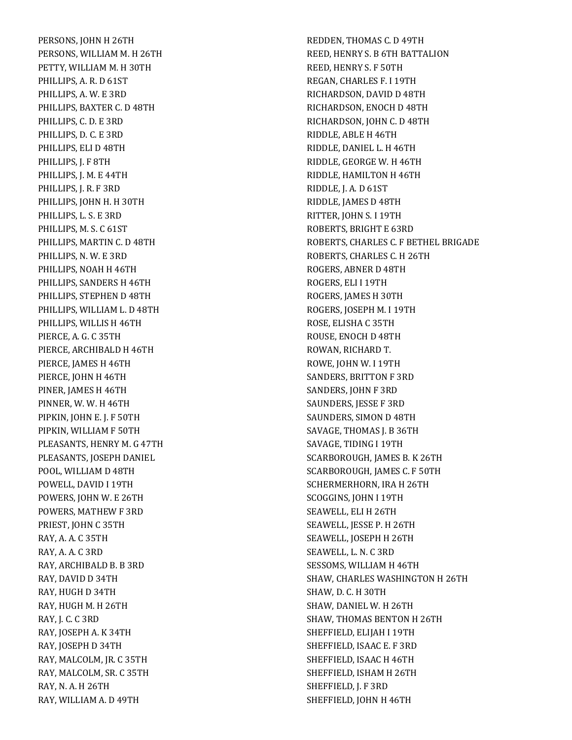PERSONS, JOHN H 26TH PERSONS, WILLIAM M. H 26TH PETTY, WILLIAM M. H 30TH PHILLIPS, A. R. D 61ST PHILLIPS, A. W. E 3RD PHILLIPS, BAXTER C. D 48TH PHILLIPS, C. D. E 3RD PHILLIPS, D. C. E 3RD PHILLIPS, ELI D 48TH PHILLIPS, J. F 8TH PHILLIPS, J. M. E 44TH PHILLIPS, J. R. F 3RD PHILLIPS, JOHN H. H 30TH PHILLIPS, L. S. E 3RD PHILLIPS, M. S. C 61ST PHILLIPS, MARTIN C. D 48TH PHILLIPS, N. W. E 3RD PHILLIPS, NOAH H 46TH PHILLIPS, SANDERS H 46TH PHILLIPS, STEPHEN D 48TH PHILLIPS, WILLIAM L. D 48TH PHILLIPS, WILLIS H 46TH PIERCE, A. G. C 35TH PIERCE, ARCHIBALD H 46TH PIERCE, JAMES H 46TH PIERCE, JOHN H 46TH PINER, JAMES H 46TH PINNER, W. W. H 46TH PIPKIN, JOHN E. J. F 50TH PIPKIN, WILLIAM F 50TH PLEASANTS, HENRY M. G 47TH PLEASANTS, JOSEPH DANIEL POOL, WILLIAM D 48TH POWELL, DAVID I 19TH POWERS, JOHN W. E 26TH POWERS, MATHEW F 3RD PRIEST, JOHN C 35TH RAY, A. A. C 35TH RAY, A. A. C 3RD RAY, ARCHIBALD B. B 3RD RAY, DAVID D 34TH RAY, HUGH D 34TH RAY, HUGH M. H 26TH RAY, J. C. C 3RD RAY, JOSEPH A. K 34TH RAY, JOSEPH D 34TH RAY, MALCOLM, JR. C 35TH RAY, MALCOLM, SR. C 35TH RAY, N. A. H 26TH RAY, WILLIAM A. D 49TH

REDDEN, THOMAS C. D 49TH REED, HENRY S. B 6TH BATTALION REED, HENRY S. F 50TH REGAN, CHARLES F. I 19TH RICHARDSON, DAVID D 48TH RICHARDSON, ENOCH D 48TH RICHARDSON, JOHN C. D 48TH RIDDLE, ABLE H 46TH RIDDLE, DANIEL L. H 46TH RIDDLE, GEORGE W. H 46TH RIDDLE, HAMILTON H 46TH RIDDLE, J. A. D 61ST RIDDLE, JAMES D 48TH RITTER, JOHN S. I 19TH ROBERTS, BRIGHT E 63RD ROBERTS, CHARLES C. F BETHEL BRIGADE ROBERTS, CHARLES C. H 26TH ROGERS, ABNER D 48TH ROGERS, ELI I 19TH ROGERS, JAMES H 30TH ROGERS, JOSEPH M. I 19TH ROSE, ELISHA C 35TH ROUSE, ENOCH D 48TH ROWAN, RICHARD T. ROWE, JOHN W. I 19TH SANDERS, BRITTON F 3RD SANDERS, JOHN F 3RD SAUNDERS, JESSE F 3RD SAUNDERS, SIMON D 48TH SAVAGE, THOMAS J. B 36TH SAVAGE, TIDING I 19TH SCARBOROUGH, JAMES B. K 26TH SCARBOROUGH, JAMES C. F 50TH SCHERMERHORN, IRA H 26TH SCOGGINS, JOHN I 19TH SEAWELL, ELI H 26TH SEAWELL, JESSE P. H 26TH SEAWELL, JOSEPH H 26TH SEAWELL, L. N. C 3RD SESSOMS, WILLIAM H 46TH SHAW, CHARLES WASHINGTON H 26TH SHAW, D. C. H 30TH SHAW, DANIEL W. H 26TH SHAW, THOMAS BENTON H 26TH SHEFFIELD, ELIJAH I 19TH SHEFFIELD, ISAAC E. F 3RD SHEFFIELD, ISAAC H 46TH SHEFFIELD, ISHAM H 26TH SHEFFIELD, J. F 3RD SHEFFIELD, JOHN H 46TH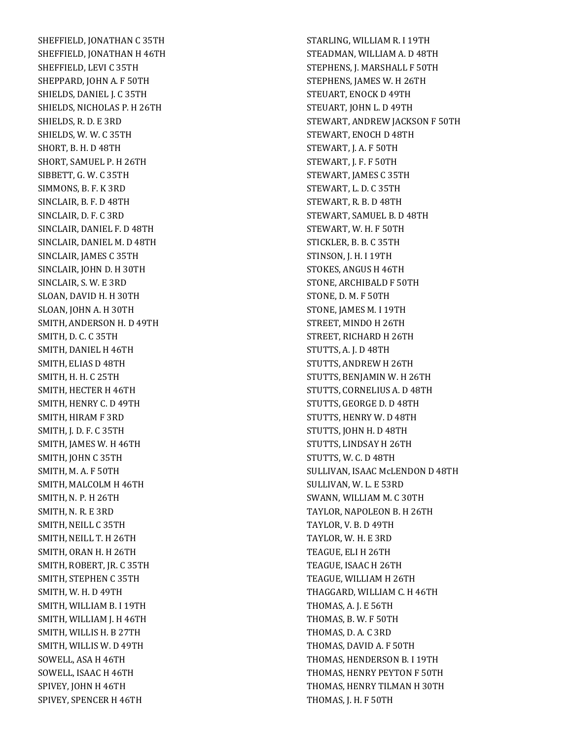SHEFFIELD, JONATHAN C 35TH SHEFFIELD, JONATHAN H 46TH SHEFFIELD, LEVI C 35TH SHEPPARD, JOHN A. F 50TH SHIELDS, DANIEL J. C 35TH SHIELDS, NICHOLAS P. H 26TH SHIELDS, R. D. E 3RD SHIELDS, W. W. C 35TH SHORT, B. H. D 48TH SHORT, SAMUEL P. H 26TH SIBBETT, G. W. C 35TH SIMMONS, B. F. K 3RD SINCLAIR, B. F. D 48TH SINCLAIR, D. F. C 3RD SINCLAIR, DANIEL F. D 48TH SINCLAIR, DANIEL M. D 48TH SINCLAIR, JAMES C 35TH SINCLAIR, JOHN D. H 30TH SINCLAIR, S. W. E 3RD SLOAN, DAVID H. H 30TH SLOAN, JOHN A. H 30TH SMITH, ANDERSON H. D 49TH SMITH, D. C. C 35TH SMITH, DANIEL H 46TH SMITH, ELIAS D 48TH SMITH, H. H. C 25TH SMITH, HECTER H 46TH SMITH, HENRY C. D 49TH SMITH, HIRAM F 3RD SMITH, J. D. F. C 35TH SMITH, JAMES W. H 46TH SMITH, JOHN C 35TH SMITH, M. A. F 50TH SMITH, MALCOLM H 46TH SMITH, N. P. H 26TH SMITH, N. R. E 3RD SMITH, NEILL C 35TH SMITH, NEILL T. H 26TH SMITH, ORAN H. H 26TH SMITH, ROBERT, JR. C 35TH SMITH, STEPHEN C 35TH SMITH, W. H. D 49TH SMITH, WILLIAM B. I 19TH SMITH, WILLIAM J. H 46TH SMITH, WILLIS H. B 27TH SMITH, WILLIS W. D 49TH SOWELL, ASA H 46TH SOWELL, ISAAC H 46TH SPIVEY, JOHN H 46TH SPIVEY, SPENCER H 46TH

STARLING, WILLIAM R. I 19TH STEADMAN, WILLIAM A. D 48TH STEPHENS, J. MARSHALL F 50TH STEPHENS, JAMES W. H 26TH STEUART, ENOCK D 49TH STEUART, JOHN L. D 49TH STEWART, ANDREW JACKSON F 50TH STEWART, ENOCH D 48TH STEWART, J. A. F 50TH STEWART, J. F. F 50TH STEWART, JAMES C 35TH STEWART, L. D. C 35TH STEWART, R. B. D 48TH STEWART, SAMUEL B. D 48TH STEWART, W. H. F 50TH STICKLER, B. B. C 35TH STINSON, J. H. I 19TH STOKES, ANGUS H 46TH STONE, ARCHIBALD F 50TH STONE, D. M. F 50TH STONE, JAMES M. I 19TH STREET, MINDO H 26TH STREET, RICHARD H 26TH STUTTS, A. J. D 48TH STUTTS, ANDREW H 26TH STUTTS, BENJAMIN W. H 26TH STUTTS, CORNELIUS A. D 48TH STUTTS, GEORGE D. D 48TH STUTTS, HENRY W. D 48TH STUTTS, JOHN H. D 48TH STUTTS, LINDSAY H 26TH STUTTS, W. C. D 48TH SULLIVAN, ISAAC McLENDON D 48TH SULLIVAN, W. L. E 53RD SWANN, WILLIAM M. C 30TH TAYLOR, NAPOLEON B. H 26TH TAYLOR, V. B. D 49TH TAYLOR, W. H. E 3RD TEAGUE, ELI H 26TH TEAGUE, ISAAC H 26TH TEAGUE, WILLIAM H 26TH THAGGARD, WILLIAM C. H 46TH THOMAS, A. J. E 56TH THOMAS, B. W. F 50TH THOMAS, D. A. C 3RD THOMAS, DAVID A. F 50TH THOMAS, HENDERSON B. I 19TH THOMAS, HENRY PEYTON F 50TH THOMAS, HENRY TILMAN H 30TH THOMAS, J. H. F 50TH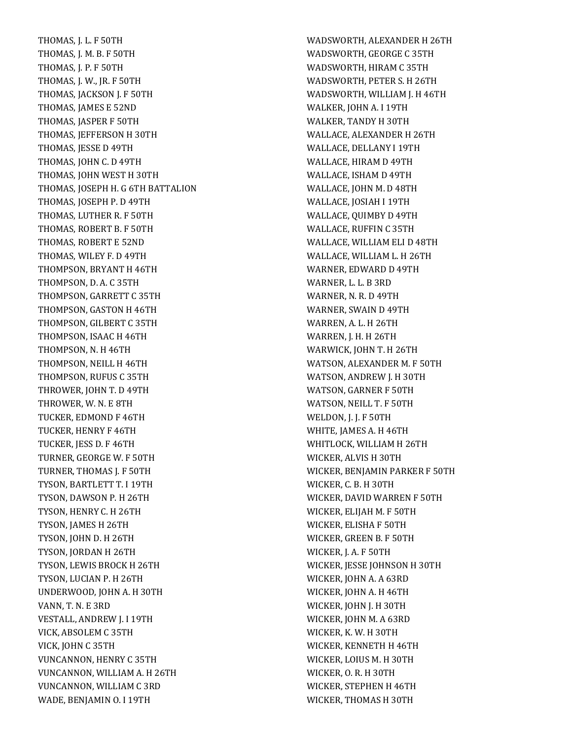THOMAS, J. L. F 50TH THOMAS, J. M. B. F 50TH THOMAS, J. P. F 50TH THOMAS, J. W., JR. F 50TH THOMAS, JACKSON J. F 50TH THOMAS, JAMES E 52ND THOMAS, JASPER F 50TH THOMAS, JEFFERSON H 30TH THOMAS, JESSE D 49TH THOMAS, JOHN C. D 49TH THOMAS, JOHN WEST H 30TH THOMAS, JOSEPH H. G 6TH BATTALION THOMAS, JOSEPH P. D 49TH THOMAS, LUTHER R. F 50TH THOMAS, ROBERT B. F 50TH THOMAS, ROBERT E 52ND THOMAS, WILEY F. D 49TH THOMPSON, BRYANT H 46TH THOMPSON, D. A. C 35TH THOMPSON, GARRETT C 35TH THOMPSON, GASTON H 46TH THOMPSON, GILBERT C 35TH THOMPSON, ISAAC H 46TH THOMPSON, N. H 46TH THOMPSON, NEILL H 46TH THOMPSON, RUFUS C 35TH THROWER, JOHN T. D 49TH THROWER, W. N. E 8TH TUCKER, EDMOND F 46TH TUCKER, HENRY F 46TH TUCKER, JESS D. F 46TH TURNER, GEORGE W. F 50TH TURNER, THOMAS J. F 50TH TYSON, BARTLETT T. I 19TH TYSON, DAWSON P. H 26TH TYSON, HENRY C. H 26TH TYSON, JAMES H 26TH TYSON, JOHN D. H 26TH TYSON, JORDAN H 26TH TYSON, LEWIS BROCK H 26TH TYSON, LUCIAN P. H 26TH UNDERWOOD, JOHN A. H 30TH VANN, T. N. E 3RD VESTALL, ANDREW J. I 19TH VICK, ABSOLEM C 35TH VICK, JOHN C 35TH VUNCANNON, HENRY C 35TH VUNCANNON, WILLIAM A. H 26TH VUNCANNON, WILLIAM C 3RD WADE, BENJAMIN O. I 19TH

WADSWORTH, ALEXANDER H 26TH WADSWORTH, GEORGE C 35TH WADSWORTH, HIRAM C 35TH WADSWORTH, PETER S. H 26TH WADSWORTH, WILLIAM J. H 46TH WALKER, JOHN A. I 19TH WALKER, TANDY H 30TH WALLACE, ALEXANDER H 26TH WALLACE, DELLANY I 19TH WALLACE, HIRAM D 49TH WALLACE, ISHAM D 49TH WALLACE, JOHN M. D 48TH WALLACE, JOSIAH I 19TH WALLACE, QUIMBY D 49TH WALLACE, RUFFIN C 35TH WALLACE, WILLIAM ELI D 48TH WALLACE, WILLIAM L. H 26TH WARNER, EDWARD D 49TH WARNER, L. L. B 3RD WARNER, N. R. D 49TH WARNER, SWAIN D 49TH WARREN, A. L. H 26TH WARREN, J. H. H 26TH WARWICK, JOHN T. H 26TH WATSON, ALEXANDER M. F 50TH WATSON, ANDREW J. H 30TH WATSON, GARNER F 50TH WATSON, NEILL T. F 50TH WELDON, J. J. F 50TH WHITE, JAMES A. H 46TH WHITLOCK, WILLIAM H 26TH WICKER, ALVIS H 30TH WICKER, BENJAMIN PARKER F 50TH WICKER, C. B. H 30TH WICKER, DAVID WARREN F 50TH WICKER, ELIJAH M. F 50TH WICKER, ELISHA F 50TH WICKER, GREEN B. F 50TH WICKER, J. A. F 50TH WICKER, JESSE JOHNSON H 30TH WICKER, JOHN A. A 63RD WICKER, JOHN A. H 46TH WICKER, JOHN J. H 30TH WICKER, JOHN M. A 63RD WICKER, K. W. H 30TH WICKER, KENNETH H 46TH WICKER, LOIUS M. H 30TH WICKER, O. R. H 30TH WICKER, STEPHEN H 46TH WICKER, THOMAS H 30TH